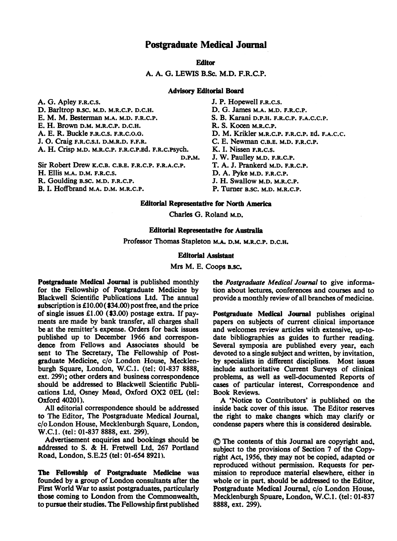## Postgraduate Medical Journal

**Editor** 

A. A. G. LEWIS B.Sc. M.D. F.R.C.P.

## Advisory Editorial Board

A. G. Apley F.R.C.S. D. Barltrop B.SC. M.D. M.R.C.P. D.C.H. E. M. M. Besterman M.A. M.D. F.R.C.P. E. H. Brown D.M. M.R.C.P. D.C.H. A. E. R. Buckle F.R.C.S. F.R.C.O.O. J. O. Craig F.R.C.S.I. D.M.R.D. F.F.R. A. H. Crisp M.D. M.R.C.P. F.R.C.P.Ed. F.R.C.PSych. D.P.M. Sir Robert Drew K.C.B. C.B.E. F.R.C.P. F.R.A.C.P.

H. Ellis M.A. D.M. F.R.C.S.

R. Goulding B.SC. M.D. F.R.C.P.

B. I. Hoffbrand M.A. D.M. M.R.C.P.

J. P. Hopewell F.R.C.S. D. G. James M.A. M.D. F.R.C.P. S. B. Karani D.P.H. F.R.C.P. F.A.C.C.P. R. S. Kocen M.R.C.P. D. M. Krikler M.R.C.P. F.R.C.P. Ed. F.A.C.C. C. E. Newman C.B.E. M.D. F.R.C.P. K. I. Nissen F.R.C.S. J. W. Paulley M.D. F.R.C.P. T. A. J. Prankerd M.D. F.R.C.P. D. A. Pyke M.D. F.R.C.P. J. H. Swallow M.D. M.R.C.P.

P. Turner B.SC. M.D. M.R.C.P.

#### Editorial Representative for North America

Charles G. Roland M.D.

### Editorial Representative for Australia

Professor Thomas Stapleton M.A. D.M. M.R.C.P. D.C.H.

#### Editorial Assistant

Mrs M. E. Coops B.SC.

Postgraduate Medical Journal is published monthly for the Fellowship of Postgraduate Medicine by Blackwell Scientific Publications Ltd. The annual subscription is £10.00 ( \$34.00) post free, and the price of single issues £1.00 (\$3.00) postage extra. If payments are made by bank transfer, all charges shall be at the remitter's expense. Orders for back issues published up to December 1966 and correspondence from Fellows and Associates should be sent to The Secretary, The Fellowship of Postgraduate Medicine, c/o London House, Mecklenburgh Square, London, W.C.1. (tel: 01-837 8888, ext. 299); other orders and business correspondence should be addressed to Blackwell Scientific Publications Ltd, Osney Mead, Oxford OX2 OEL (tel: Oxford 40201).

All editorial correspondence should be addressed to The Editor, The Postgraduate Medical Journal, c/o London House, Mecklenburgh Square, London, W.C.1. (tel: 01-837 8888, ext. 299).

Advertisement enquiries and bookings should be addressed to S. & H. Fretwell Ltd, <sup>267</sup> Portland Road, London, S.E.25 (tel: 01-654 8921).

The Fellowship of Postgraduate Medicine was founded by a group of London consultants after the First World War to assist postgraduates, particularly those coming to London from the Commonwealth, to pursue their studies. The Fellowship first published the Postgraduate Medical Journal to give information about lectures, conferences and courses and to provide a monthly review of all branches of medicine.

Postgraduate Medical Journal publishes original papers on subjects of current clinical importance and welcomes review articles with extensive, up-todate bibliographies as guides to further reading. Several symposia are published every year, each devoted to a single subject and written, by invitation, by specialists in different disciplines. Most issues include authoritative Current Surveys of clinical problems, as well as well-documented Reports of cases of particular interest, Correspondence and Book Reviews.

A 'Notice to Contributors' is published on the inside back cover of this issue. The Editor reserves the right to make changes which may clarify or condense papers where this is considered desirable.

© The contents of this Journal are copyright and, subject to the provisions of Section 7 of the Copyright Act, 1956, they may not be copied, adapted or reproduced without permission. Requests for permission to reproduce material elsewhere, either in whole or in part, should be addressed to the Editor, Postgraduate Medical Journal, c/o London House, Mecklenburgh Spuare, London, W.C.1. (tel: 01-837 8888, ext. 299).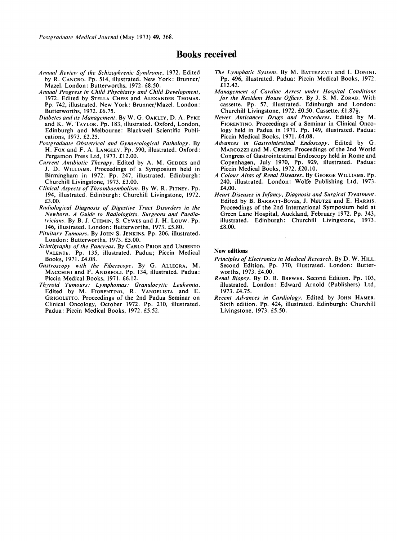Postgraduate Medical Journal (May 1973) 49, 368.

# Books received

- Annual Review of the Schizophrenic Syndrome, 1972. Edited by R. CANCRO. Pp. 514, illustrated. New York: Brunner/ Mazel. London: Butterworths, 1972. £8.50.
- Annual Progress in Child Phychiatry and Child Development, 1972. Edited by STELLA CHESS and ALEXANDER THOMAS. Pp. 742, illustrated. New York: Brunner/Mazel. London: Butterworths, 1972. £6.75.
- Diabetes and its Management. By W. G. OAKLEY, D. A. PYKE and K. W. TAYLOR. Pp. 183, illustrated. Oxford, London, Edinburgh and Melbourne: Blackwell Scientific Publications, 1973. £2.25.
- Postgraduate Obstetrical and Gynaecological Pathology. By H. Fox and F. A. LANGLEY. Pp. 590, illustrated. Oxford: Pergamon Press Ltd, 1973. £12.00.
- Current Antibiotic Therapy. Edited by A. M. GEDDES and J. D. WILLIAMS. Proceedings of <sup>a</sup> Symposium held in Birmingham in 1972. Pp. 247, illustrated. Edinburgh: Churchill Livingstone, 1973. £3.00.
- Clinical Aspects of Thromboembolism. By W. R. PITNEY. Pp. 194, illustrated. Edinburgh: Churchill Livingstone, 1972. £3.00.
- Radiological Diagnosis of Digestive Tract Disorders in the Newborn. A Guide to Radiologists. Surgeons and Paediatricians. By B. J. CTEMIN, S. CYWES and J. H. Louw. Pp. 146, illustrated. London: Butterworths, 1973. £5.80.
- Pituitary Tumours. By JOHN S. JENKINS. Pp. 206, illustrated. London: Butterworths, 1973. £5.00.
- Scintigraphy of the Pancreas. By CARLO PRIOR and UMBERTO VALENTE. Pp. 135, illustrated. Padua; Piccin Medical Books, 1971. £4.08.
- Gastroscopy with the Fiberscope. By G. ALLEGRA, M. MACCHINI and F. ANDREOLI. Pp. 134, illustrated. Padua: Piccin Medical Books, 1971. £6.12.
- Thyroid Tumours: Lymphomas: Granulocvtic Leukemia. Edited by M. FIORENTINO, R. VANGELISTA and E. GRIGOLETTO. Proceedings of the 2nd Padua Seminar on Clinical Oncology, October 1972. Pp. 210, illustrated. Padua: Piccin Medical Books, 1972. £5.52.
- The Lymphatic System. By M. BATTEZZATI and I. DONINI. Pp. 496, illustrated. Padua: Piccin Medical Books, 1972. £12.42.
- Management of Cardiac Arrest under Hospital Conditions for the Resident House Officer. By J. S. M. ZORAB. With cassette. Pp. 57, illustrated. Edinburgh and London: Churchill Livingstone, 1972. £0.50. Cassette. £1.87 $\frac{1}{2}$ .
- Newer Anticancer Drugs and Procedures. Edited by M. FIORENTINO. Proceedings of a Seminar in Clinical Oncology held in Padua in 1971. Pp. 149, illustrated. Padua: Piccin Medical Books, 1971. £4.08.
- Advances in Gastrointestinal Endoscopy. Edited by G. MARCOZZI and M. CRESPI. Proceedings of the 2nd World Congress of Gastrointestinal Endoscopy held in Rome and Copenhagen, July 1970, Pp. 929, illustrated. Padua: Piccin Medical Books, 1972. £20.10.
- A Colour Altas of Renal Diseases. By GEORGE WILLIAMS. Pp. 240, illustrated. London: Wolfe Publishing Ltd, 1973. £4.00.
- Heart Diseases in Infancy, Diagnosis and Surgical Treatment. Edited by B. BARRATT-BOYES, J. NEUTZE and E. HARRIS. Proceedings of the 2nd International Symposium held at Green Lane Hospital, Auckland, February 1972. Pp. 343, illustrated. Edinburgh: Churchill Livingstone, 1973. £8.00.

#### New editions

- Principles of Electronics in Medical Research. By D. W. HILL. Second Edition, Pp. 370, illustrated. London: Butterworths, 1973. £4.00.
- Renal Biopsy. By D. B. BREWER. Second Edition. Pp. 103, illustrated. London: Edward Arnold (Publishers) Ltd, 1973. £4.75.
- Recent Advances in Cardiology. Edited by JOHN HAMER. Sixth edition. Pp. 424, illustrated. Edinburgh: Churchill Livingstone, 1973. £5.50.